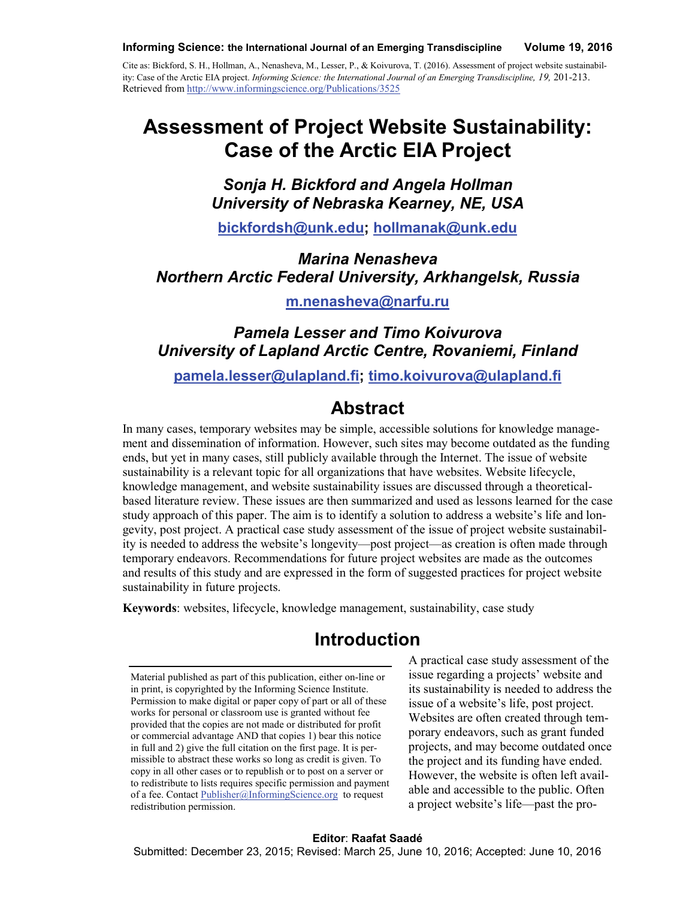#### **Informing Science: the International Journal of an Emerging Transdiscipline Volume 19, 2016**

Cite as: Bickford, S. H., Hollman, A., Nenasheva, M., Lesser, P., & Koivurova, T. (2016). Assessment of project website sustainability: Case of the Arctic EIA project. *Informing Science: the International Journal of an Emerging Transdiscipline, 19,* 201-213. Retrieved from<http://www.informingscience.org/Publications/3525>

# **Assessment of Project Website Sustainability: Case of the Arctic EIA Project**

*Sonja H. Bickford and Angela Hollman University of Nebraska Kearney, NE, USA*

**[bickfordsh@unk.edu;](mailto:bickfordsh@unk.edu) [hollmanak@unk.edu](mailto:hollmanak@unk.edu)**

*Marina Nenasheva Northern Arctic Federal University, Arkhangelsk, Russia*

**[m.nenasheva@narfu.ru](mailto:m.nenasheva@narfu.ru)**

#### *Pamela Lesser and Timo Koivurova University of Lapland Arctic Centre, Rovaniemi, Finland*

**[pamela.lesser@ulapland.fi;](mailto:pamela.lesser@ulapland.fi) [timo.koivurova@ulapland.fi](mailto:timo.koivurova@ulapland.fi)**

### **Abstract**

In many cases, temporary websites may be simple, accessible solutions for knowledge management and dissemination of information. However, such sites may become outdated as the funding ends, but yet in many cases, still publicly available through the Internet. The issue of website sustainability is a relevant topic for all organizations that have websites. Website lifecycle, knowledge management, and website sustainability issues are discussed through a theoreticalbased literature review. These issues are then summarized and used as lessons learned for the case study approach of this paper. The aim is to identify a solution to address a website's life and longevity, post project. A practical case study assessment of the issue of project website sustainability is needed to address the website's longevity—post project—as creation is often made through temporary endeavors. Recommendations for future project websites are made as the outcomes and results of this study and are expressed in the form of suggested practices for project website sustainability in future projects.

**Keywords**: websites, lifecycle, knowledge management, sustainability, case study

# **Introduction**

Material published as part of this publication, either on-line or in print, is copyrighted by the Informing Science Institute. Permission to make digital or paper copy of part or all of these works for personal or classroom use is granted without fee provided that the copies are not made or distributed for profit or commercial advantage AND that copies 1) bear this notice in full and 2) give the full citation on the first page. It is permissible to abstract these works so long as credit is given. To copy in all other cases or to republish or to post on a server or to redistribute to lists requires specific permission and payment of a fee. Contact [Publisher@InformingScience.org](mailto:Publisher@InformingScience.org) to request redistribution permission.

A practical case study assessment of the issue regarding a projects' website and its sustainability is needed to address the issue of a website's life, post project. Websites are often created through temporary endeavors, such as grant funded projects, and may become outdated once the project and its funding have ended. However, the website is often left available and accessible to the public. Often a project website's life—past the pro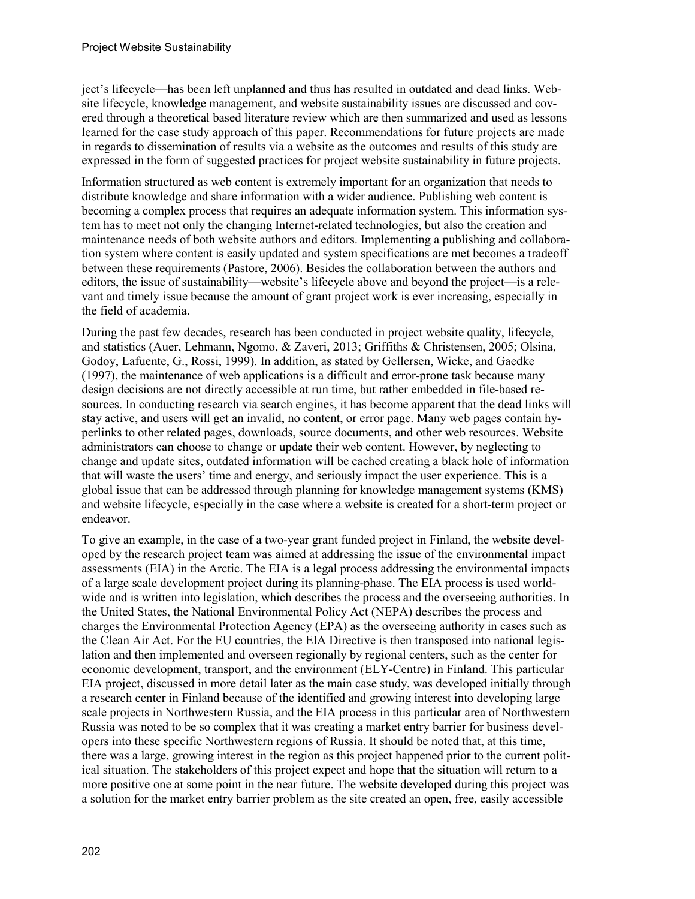ject's lifecycle—has been left unplanned and thus has resulted in outdated and dead links. Website lifecycle, knowledge management, and website sustainability issues are discussed and covered through a theoretical based literature review which are then summarized and used as lessons learned for the case study approach of this paper. Recommendations for future projects are made in regards to dissemination of results via a website as the outcomes and results of this study are expressed in the form of suggested practices for project website sustainability in future projects.

Information structured as web content is extremely important for an organization that needs to distribute knowledge and share information with a wider audience. Publishing web content is becoming a complex process that requires an adequate information system. This information system has to meet not only the changing Internet-related technologies, but also the creation and maintenance needs of both website authors and editors. Implementing a publishing and collaboration system where content is easily updated and system specifications are met becomes a tradeoff between these requirements (Pastore, 2006). Besides the collaboration between the authors and editors, the issue of sustainability—website's lifecycle above and beyond the project—is a relevant and timely issue because the amount of grant project work is ever increasing, especially in the field of academia.

During the past few decades, research has been conducted in project website quality, lifecycle, and statistics (Auer, Lehmann, Ngomo, & Zaveri, 2013; Griffiths & Christensen, 2005; Olsina, Godoy, Lafuente, G., Rossi, 1999). In addition, as stated by Gellersen, Wicke, and Gaedke (1997), the maintenance of web applications is a difficult and error-prone task because many design decisions are not directly accessible at run time, but rather embedded in file-based resources. In conducting research via search engines, it has become apparent that the dead links will stay active, and users will get an invalid, no content, or error page. Many web pages contain hyperlinks to other related pages, downloads, source documents, and other web resources. Website administrators can choose to change or update their web content. However, by neglecting to change and update sites, outdated information will be cached creating a black hole of information that will waste the users' time and energy, and seriously impact the user experience. This is a global issue that can be addressed through planning for knowledge management systems (KMS) and website lifecycle, especially in the case where a website is created for a short-term project or endeavor.

To give an example, in the case of a two-year grant funded project in Finland, the website developed by the research project team was aimed at addressing the issue of the environmental impact assessments (EIA) in the Arctic. The EIA is a legal process addressing the environmental impacts of a large scale development project during its planning-phase. The EIA process is used worldwide and is written into legislation, which describes the process and the overseeing authorities. In the United States, the National Environmental Policy Act (NEPA) describes the process and charges the Environmental Protection Agency (EPA) as the overseeing authority in cases such as the Clean Air Act. For the EU countries, the EIA Directive is then transposed into national legislation and then implemented and overseen regionally by regional centers, such as the center for economic development, transport, and the environment (ELY-Centre) in Finland. This particular EIA project, discussed in more detail later as the main case study, was developed initially through a research center in Finland because of the identified and growing interest into developing large scale projects in Northwestern Russia, and the EIA process in this particular area of Northwestern Russia was noted to be so complex that it was creating a market entry barrier for business developers into these specific Northwestern regions of Russia. It should be noted that, at this time, there was a large, growing interest in the region as this project happened prior to the current political situation. The stakeholders of this project expect and hope that the situation will return to a more positive one at some point in the near future. The website developed during this project was a solution for the market entry barrier problem as the site created an open, free, easily accessible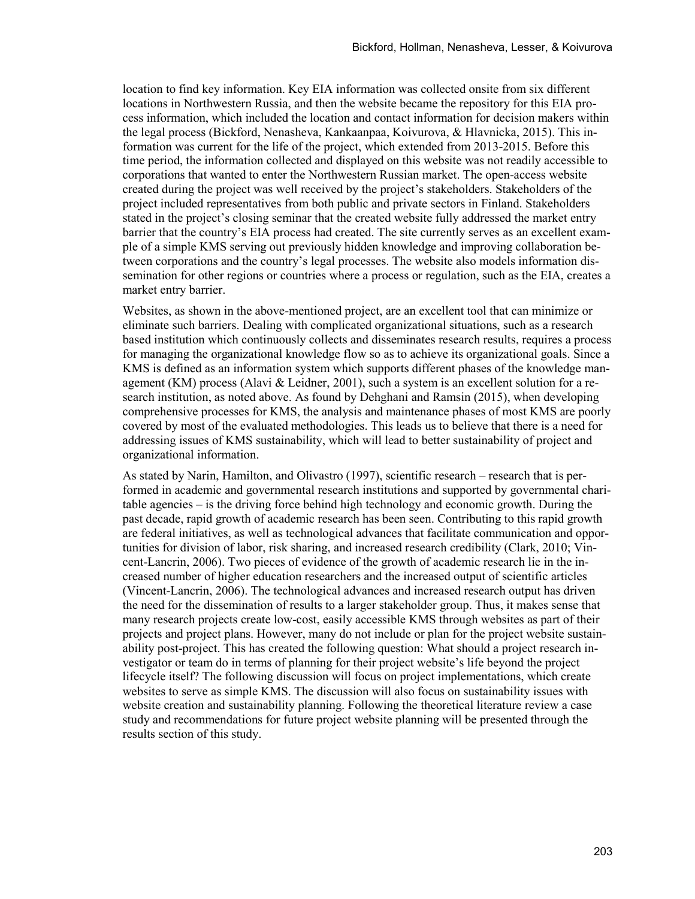location to find key information. Key EIA information was collected onsite from six different locations in Northwestern Russia, and then the website became the repository for this EIA process information, which included the location and contact information for decision makers within the legal process (Bickford, Nenasheva, Kankaanpaa, Koivurova, & Hlavnicka, 2015). This information was current for the life of the project, which extended from 2013-2015. Before this time period, the information collected and displayed on this website was not readily accessible to corporations that wanted to enter the Northwestern Russian market. The open-access website created during the project was well received by the project's stakeholders. Stakeholders of the project included representatives from both public and private sectors in Finland. Stakeholders stated in the project's closing seminar that the created website fully addressed the market entry barrier that the country's EIA process had created. The site currently serves as an excellent example of a simple KMS serving out previously hidden knowledge and improving collaboration between corporations and the country's legal processes. The website also models information dissemination for other regions or countries where a process or regulation, such as the EIA, creates a market entry barrier.

Websites, as shown in the above-mentioned project, are an excellent tool that can minimize or eliminate such barriers. Dealing with complicated organizational situations, such as a research based institution which continuously collects and disseminates research results, requires a process for managing the organizational knowledge flow so as to achieve its organizational goals. Since a KMS is defined as an information system which supports different phases of the knowledge management (KM) process (Alavi & Leidner, 2001), such a system is an excellent solution for a research institution, as noted above. As found by Dehghani and Ramsin (2015), when developing comprehensive processes for KMS, the analysis and maintenance phases of most KMS are poorly covered by most of the evaluated methodologies. This leads us to believe that there is a need for addressing issues of KMS sustainability, which will lead to better sustainability of project and organizational information.

As stated by Narin, Hamilton, and Olivastro (1997), scientific research – research that is performed in academic and governmental research institutions and supported by governmental charitable agencies – is the driving force behind high technology and economic growth. During the past decade, rapid growth of academic research has been seen. Contributing to this rapid growth are federal initiatives, as well as technological advances that facilitate communication and opportunities for division of labor, risk sharing, and increased research credibility (Clark, 2010; Vincent-Lancrin, 2006). Two pieces of evidence of the growth of academic research lie in the increased number of higher education researchers and the increased output of scientific articles (Vincent-Lancrin, 2006). The technological advances and increased research output has driven the need for the dissemination of results to a larger stakeholder group. Thus, it makes sense that many research projects create low-cost, easily accessible KMS through websites as part of their projects and project plans. However, many do not include or plan for the project website sustainability post-project. This has created the following question: What should a project research investigator or team do in terms of planning for their project website's life beyond the project lifecycle itself? The following discussion will focus on project implementations, which create websites to serve as simple KMS. The discussion will also focus on sustainability issues with website creation and sustainability planning. Following the theoretical literature review a case study and recommendations for future project website planning will be presented through the results section of this study.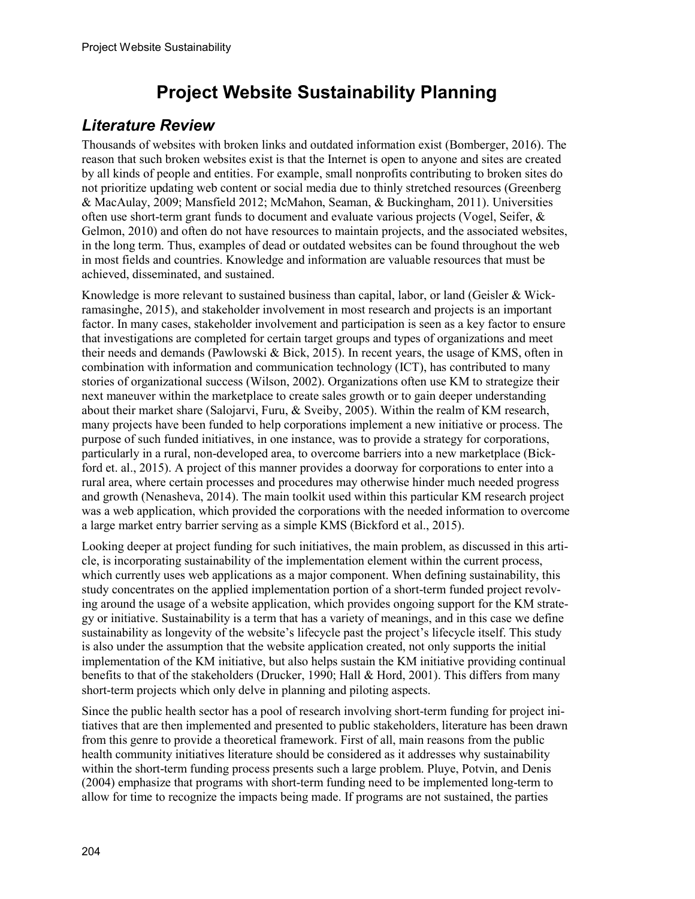# **Project Website Sustainability Planning**

#### *Literature Review*

Thousands of websites with broken links and outdated information exist (Bomberger, 2016). The reason that such broken websites exist is that the Internet is open to anyone and sites are created by all kinds of people and entities. For example, small nonprofits contributing to broken sites do not prioritize updating web content or social media due to thinly stretched resources (Greenberg & MacAulay, 2009; Mansfield 2012; McMahon, Seaman, & Buckingham, 2011). Universities often use short-term grant funds to document and evaluate various projects (Vogel, Seifer, & Gelmon, 2010) and often do not have resources to maintain projects, and the associated websites, in the long term. Thus, examples of dead or outdated websites can be found throughout the web in most fields and countries. Knowledge and information are valuable resources that must be achieved, disseminated, and sustained.

Knowledge is more relevant to sustained business than capital, labor, or land (Geisler & Wickramasinghe, 2015), and stakeholder involvement in most research and projects is an important factor. In many cases, stakeholder involvement and participation is seen as a key factor to ensure that investigations are completed for certain target groups and types of organizations and meet their needs and demands (Pawlowski & Bick, 2015). In recent years, the usage of KMS, often in combination with information and communication technology (ICT), has contributed to many stories of organizational success (Wilson, 2002). Organizations often use KM to strategize their next maneuver within the marketplace to create sales growth or to gain deeper understanding about their market share (Salojarvi, Furu, & Sveiby, 2005). Within the realm of KM research, many projects have been funded to help corporations implement a new initiative or process. The purpose of such funded initiatives, in one instance, was to provide a strategy for corporations, particularly in a rural, non-developed area, to overcome barriers into a new marketplace (Bickford et. al., 2015). A project of this manner provides a doorway for corporations to enter into a rural area, where certain processes and procedures may otherwise hinder much needed progress and growth (Nenasheva, 2014). The main toolkit used within this particular KM research project was a web application, which provided the corporations with the needed information to overcome a large market entry barrier serving as a simple KMS (Bickford et al., 2015).

Looking deeper at project funding for such initiatives, the main problem, as discussed in this article, is incorporating sustainability of the implementation element within the current process, which currently uses web applications as a major component. When defining sustainability, this study concentrates on the applied implementation portion of a short-term funded project revolving around the usage of a website application, which provides ongoing support for the KM strategy or initiative. Sustainability is a term that has a variety of meanings, and in this case we define sustainability as longevity of the website's lifecycle past the project's lifecycle itself. This study is also under the assumption that the website application created, not only supports the initial implementation of the KM initiative, but also helps sustain the KM initiative providing continual benefits to that of the stakeholders (Drucker, 1990; Hall & Hord, 2001). This differs from many short-term projects which only delve in planning and piloting aspects.

Since the public health sector has a pool of research involving short-term funding for project initiatives that are then implemented and presented to public stakeholders, literature has been drawn from this genre to provide a theoretical framework. First of all, main reasons from the public health community initiatives literature should be considered as it addresses why sustainability within the short-term funding process presents such a large problem. Pluye, Potvin, and Denis (2004) emphasize that programs with short-term funding need to be implemented long-term to allow for time to recognize the impacts being made. If programs are not sustained, the parties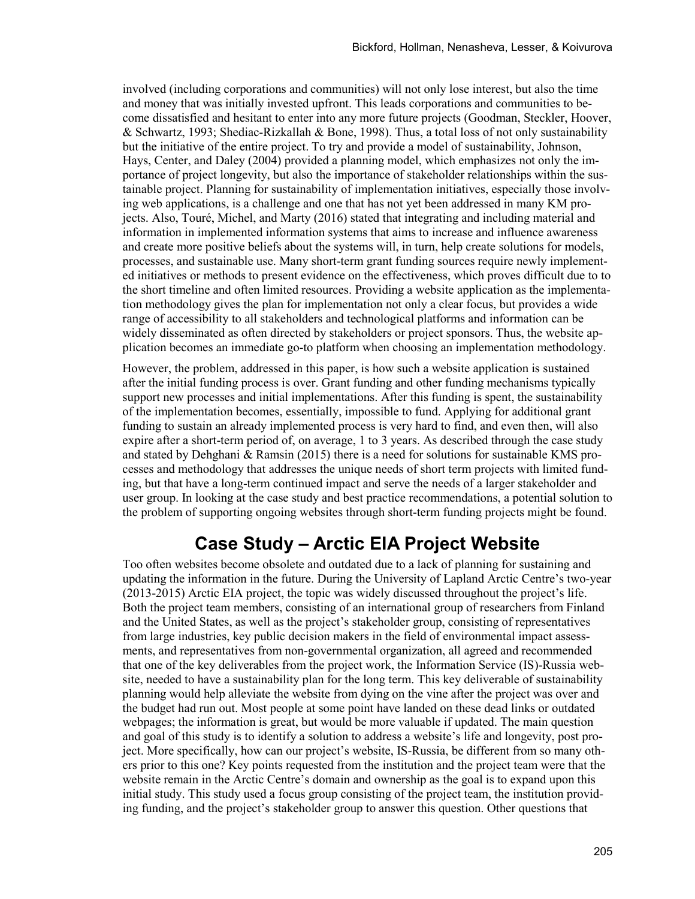involved (including corporations and communities) will not only lose interest, but also the time and money that was initially invested upfront. This leads corporations and communities to become dissatisfied and hesitant to enter into any more future projects (Goodman, Steckler, Hoover, & Schwartz, 1993; Shediac-Rizkallah & Bone, 1998). Thus, a total loss of not only sustainability but the initiative of the entire project. To try and provide a model of sustainability, Johnson, Hays, Center, and Daley (2004) provided a planning model, which emphasizes not only the importance of project longevity, but also the importance of stakeholder relationships within the sustainable project. Planning for sustainability of implementation initiatives, especially those involving web applications, is a challenge and one that has not yet been addressed in many KM projects. Also, Touré, Michel, and Marty (2016) stated that integrating and including material and information in implemented information systems that aims to increase and influence awareness and create more positive beliefs about the systems will, in turn, help create solutions for models, processes, and sustainable use. Many short-term grant funding sources require newly implemented initiatives or methods to present evidence on the effectiveness, which proves difficult due to to the short timeline and often limited resources. Providing a website application as the implementation methodology gives the plan for implementation not only a clear focus, but provides a wide range of accessibility to all stakeholders and technological platforms and information can be widely disseminated as often directed by stakeholders or project sponsors. Thus, the website application becomes an immediate go-to platform when choosing an implementation methodology.

However, the problem, addressed in this paper, is how such a website application is sustained after the initial funding process is over. Grant funding and other funding mechanisms typically support new processes and initial implementations. After this funding is spent, the sustainability of the implementation becomes, essentially, impossible to fund. Applying for additional grant funding to sustain an already implemented process is very hard to find, and even then, will also expire after a short-term period of, on average, 1 to 3 years. As described through the case study and stated by Dehghani & Ramsin (2015) there is a need for solutions for sustainable KMS processes and methodology that addresses the unique needs of short term projects with limited funding, but that have a long-term continued impact and serve the needs of a larger stakeholder and user group. In looking at the case study and best practice recommendations, a potential solution to the problem of supporting ongoing websites through short-term funding projects might be found.

# **Case Study – Arctic EIA Project Website**

Too often websites become obsolete and outdated due to a lack of planning for sustaining and updating the information in the future. During the University of Lapland Arctic Centre's two-year (2013-2015) Arctic EIA project, the topic was widely discussed throughout the project's life. Both the project team members, consisting of an international group of researchers from Finland and the United States, as well as the project's stakeholder group, consisting of representatives from large industries, key public decision makers in the field of environmental impact assessments, and representatives from non-governmental organization, all agreed and recommended that one of the key deliverables from the project work, the Information Service (IS)-Russia website, needed to have a sustainability plan for the long term. This key deliverable of sustainability planning would help alleviate the website from dying on the vine after the project was over and the budget had run out. Most people at some point have landed on these dead links or outdated webpages; the information is great, but would be more valuable if updated. The main question and goal of this study is to identify a solution to address a website's life and longevity, post project. More specifically, how can our project's website, IS-Russia, be different from so many others prior to this one? Key points requested from the institution and the project team were that the website remain in the Arctic Centre's domain and ownership as the goal is to expand upon this initial study. This study used a focus group consisting of the project team, the institution providing funding, and the project's stakeholder group to answer this question. Other questions that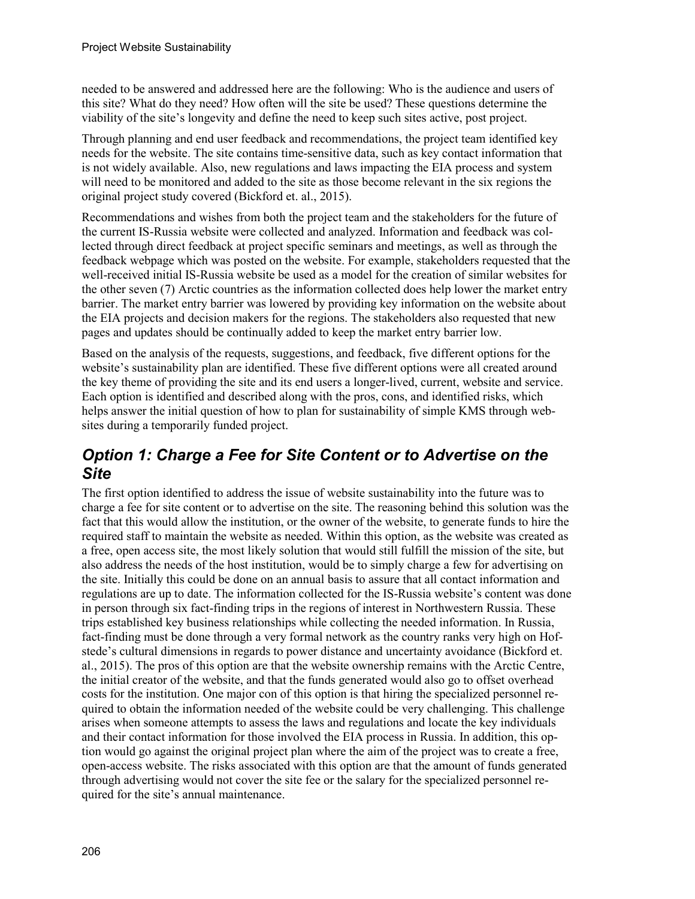needed to be answered and addressed here are the following: Who is the audience and users of this site? What do they need? How often will the site be used? These questions determine the viability of the site's longevity and define the need to keep such sites active, post project.

Through planning and end user feedback and recommendations, the project team identified key needs for the website. The site contains time-sensitive data, such as key contact information that is not widely available. Also, new regulations and laws impacting the EIA process and system will need to be monitored and added to the site as those become relevant in the six regions the original project study covered (Bickford et. al., 2015).

Recommendations and wishes from both the project team and the stakeholders for the future of the current IS-Russia website were collected and analyzed. Information and feedback was collected through direct feedback at project specific seminars and meetings, as well as through the feedback webpage which was posted on the website. For example, stakeholders requested that the well-received initial IS-Russia website be used as a model for the creation of similar websites for the other seven (7) Arctic countries as the information collected does help lower the market entry barrier. The market entry barrier was lowered by providing key information on the website about the EIA projects and decision makers for the regions. The stakeholders also requested that new pages and updates should be continually added to keep the market entry barrier low.

Based on the analysis of the requests, suggestions, and feedback, five different options for the website's sustainability plan are identified. These five different options were all created around the key theme of providing the site and its end users a longer-lived, current, website and service. Each option is identified and described along with the pros, cons, and identified risks, which helps answer the initial question of how to plan for sustainability of simple KMS through websites during a temporarily funded project.

#### *Option 1: Charge a Fee for Site Content or to Advertise on the Site*

The first option identified to address the issue of website sustainability into the future was to charge a fee for site content or to advertise on the site. The reasoning behind this solution was the fact that this would allow the institution, or the owner of the website, to generate funds to hire the required staff to maintain the website as needed. Within this option, as the website was created as a free, open access site, the most likely solution that would still fulfill the mission of the site, but also address the needs of the host institution, would be to simply charge a few for advertising on the site. Initially this could be done on an annual basis to assure that all contact information and regulations are up to date. The information collected for the IS-Russia website's content was done in person through six fact-finding trips in the regions of interest in Northwestern Russia. These trips established key business relationships while collecting the needed information. In Russia, fact-finding must be done through a very formal network as the country ranks very high on Hofstede's cultural dimensions in regards to power distance and uncertainty avoidance (Bickford et. al., 2015). The pros of this option are that the website ownership remains with the Arctic Centre, the initial creator of the website, and that the funds generated would also go to offset overhead costs for the institution. One major con of this option is that hiring the specialized personnel required to obtain the information needed of the website could be very challenging. This challenge arises when someone attempts to assess the laws and regulations and locate the key individuals and their contact information for those involved the EIA process in Russia. In addition, this option would go against the original project plan where the aim of the project was to create a free, open-access website. The risks associated with this option are that the amount of funds generated through advertising would not cover the site fee or the salary for the specialized personnel required for the site's annual maintenance.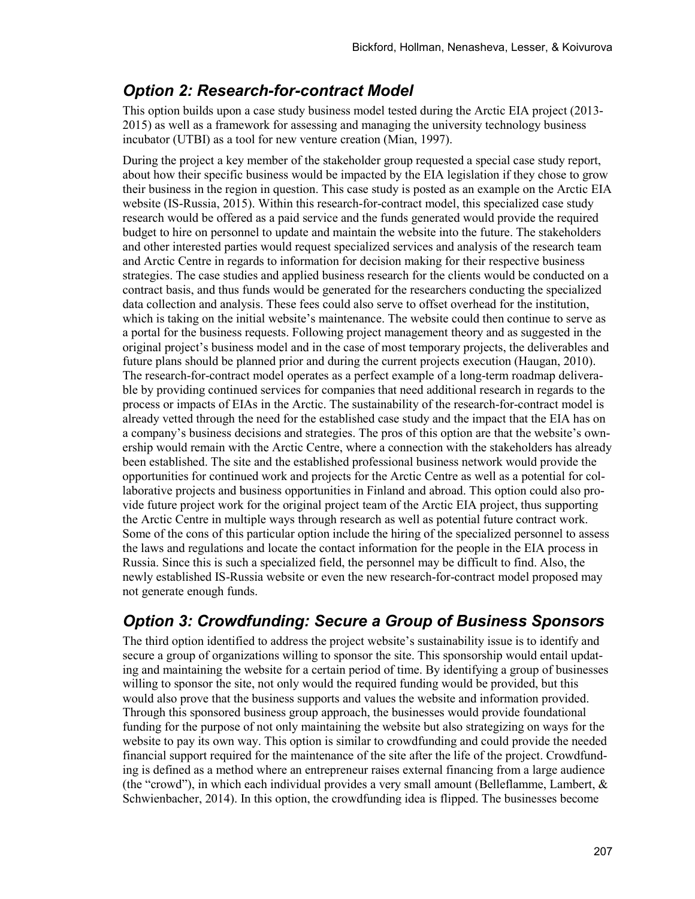#### *Option 2: Research-for-contract Model*

This option builds upon a case study business model tested during the Arctic EIA project (2013- 2015) as well as a framework for assessing and managing the university technology business incubator (UTBI) as a tool for new venture creation (Mian, 1997).

During the project a key member of the stakeholder group requested a special case study report, about how their specific business would be impacted by the EIA legislation if they chose to grow their business in the region in question. This case study is posted as an example on the Arctic EIA website (IS-Russia, 2015). Within this research-for-contract model, this specialized case study research would be offered as a paid service and the funds generated would provide the required budget to hire on personnel to update and maintain the website into the future. The stakeholders and other interested parties would request specialized services and analysis of the research team and Arctic Centre in regards to information for decision making for their respective business strategies. The case studies and applied business research for the clients would be conducted on a contract basis, and thus funds would be generated for the researchers conducting the specialized data collection and analysis. These fees could also serve to offset overhead for the institution, which is taking on the initial website's maintenance. The website could then continue to serve as a portal for the business requests. Following project management theory and as suggested in the original project's business model and in the case of most temporary projects, the deliverables and future plans should be planned prior and during the current projects execution (Haugan, 2010). The research-for-contract model operates as a perfect example of a long-term roadmap deliverable by providing continued services for companies that need additional research in regards to the process or impacts of EIAs in the Arctic. The sustainability of the research-for-contract model is already vetted through the need for the established case study and the impact that the EIA has on a company's business decisions and strategies. The pros of this option are that the website's ownership would remain with the Arctic Centre, where a connection with the stakeholders has already been established. The site and the established professional business network would provide the opportunities for continued work and projects for the Arctic Centre as well as a potential for collaborative projects and business opportunities in Finland and abroad. This option could also provide future project work for the original project team of the Arctic EIA project, thus supporting the Arctic Centre in multiple ways through research as well as potential future contract work. Some of the cons of this particular option include the hiring of the specialized personnel to assess the laws and regulations and locate the contact information for the people in the EIA process in Russia. Since this is such a specialized field, the personnel may be difficult to find. Also, the newly established IS-Russia website or even the new research-for-contract model proposed may not generate enough funds.

### *Option 3: Crowdfunding: Secure a Group of Business Sponsors*

The third option identified to address the project website's sustainability issue is to identify and secure a group of organizations willing to sponsor the site. This sponsorship would entail updating and maintaining the website for a certain period of time. By identifying a group of businesses willing to sponsor the site, not only would the required funding would be provided, but this would also prove that the business supports and values the website and information provided. Through this sponsored business group approach, the businesses would provide foundational funding for the purpose of not only maintaining the website but also strategizing on ways for the website to pay its own way. This option is similar to crowdfunding and could provide the needed financial support required for the maintenance of the site after the life of the project. Crowdfunding is defined as a method where an entrepreneur raises external financing from a large audience (the "crowd"), in which each individual provides a very small amount (Belleflamme, Lambert,  $\&$ Schwienbacher, 2014). In this option, the crowdfunding idea is flipped. The businesses become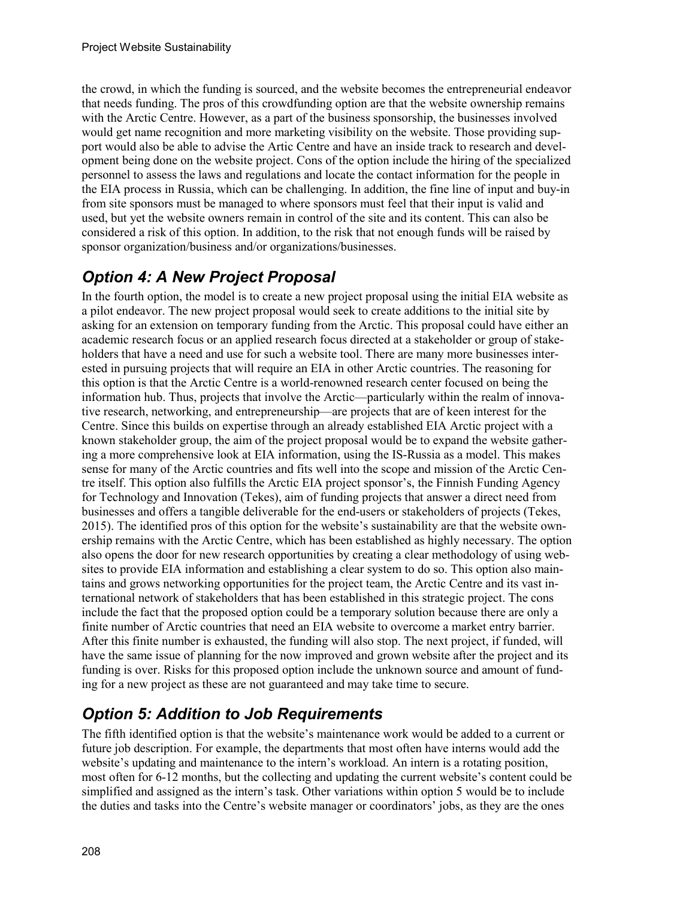the crowd, in which the funding is sourced, and the website becomes the entrepreneurial endeavor that needs funding. The pros of this crowdfunding option are that the website ownership remains with the Arctic Centre. However, as a part of the business sponsorship, the businesses involved would get name recognition and more marketing visibility on the website. Those providing support would also be able to advise the Artic Centre and have an inside track to research and development being done on the website project. Cons of the option include the hiring of the specialized personnel to assess the laws and regulations and locate the contact information for the people in the EIA process in Russia, which can be challenging. In addition, the fine line of input and buy-in from site sponsors must be managed to where sponsors must feel that their input is valid and used, but yet the website owners remain in control of the site and its content. This can also be considered a risk of this option. In addition, to the risk that not enough funds will be raised by sponsor organization/business and/or organizations/businesses.

# *Option 4: A New Project Proposal*

In the fourth option, the model is to create a new project proposal using the initial EIA website as a pilot endeavor. The new project proposal would seek to create additions to the initial site by asking for an extension on temporary funding from the Arctic. This proposal could have either an academic research focus or an applied research focus directed at a stakeholder or group of stakeholders that have a need and use for such a website tool. There are many more businesses interested in pursuing projects that will require an EIA in other Arctic countries. The reasoning for this option is that the Arctic Centre is a world-renowned research center focused on being the information hub. Thus, projects that involve the Arctic—particularly within the realm of innovative research, networking, and entrepreneurship—are projects that are of keen interest for the Centre. Since this builds on expertise through an already established EIA Arctic project with a known stakeholder group, the aim of the project proposal would be to expand the website gathering a more comprehensive look at EIA information, using the IS-Russia as a model. This makes sense for many of the Arctic countries and fits well into the scope and mission of the Arctic Centre itself. This option also fulfills the Arctic EIA project sponsor's, the Finnish Funding Agency for Technology and Innovation (Tekes), aim of funding projects that answer a direct need from businesses and offers a tangible deliverable for the end-users or stakeholders of projects (Tekes, 2015). The identified pros of this option for the website's sustainability are that the website ownership remains with the Arctic Centre, which has been established as highly necessary. The option also opens the door for new research opportunities by creating a clear methodology of using websites to provide EIA information and establishing a clear system to do so. This option also maintains and grows networking opportunities for the project team, the Arctic Centre and its vast international network of stakeholders that has been established in this strategic project. The cons include the fact that the proposed option could be a temporary solution because there are only a finite number of Arctic countries that need an EIA website to overcome a market entry barrier. After this finite number is exhausted, the funding will also stop. The next project, if funded, will have the same issue of planning for the now improved and grown website after the project and its funding is over. Risks for this proposed option include the unknown source and amount of funding for a new project as these are not guaranteed and may take time to secure.

# *Option 5: Addition to Job Requirements*

The fifth identified option is that the website's maintenance work would be added to a current or future job description. For example, the departments that most often have interns would add the website's updating and maintenance to the intern's workload. An intern is a rotating position, most often for 6-12 months, but the collecting and updating the current website's content could be simplified and assigned as the intern's task. Other variations within option 5 would be to include the duties and tasks into the Centre's website manager or coordinators' jobs, as they are the ones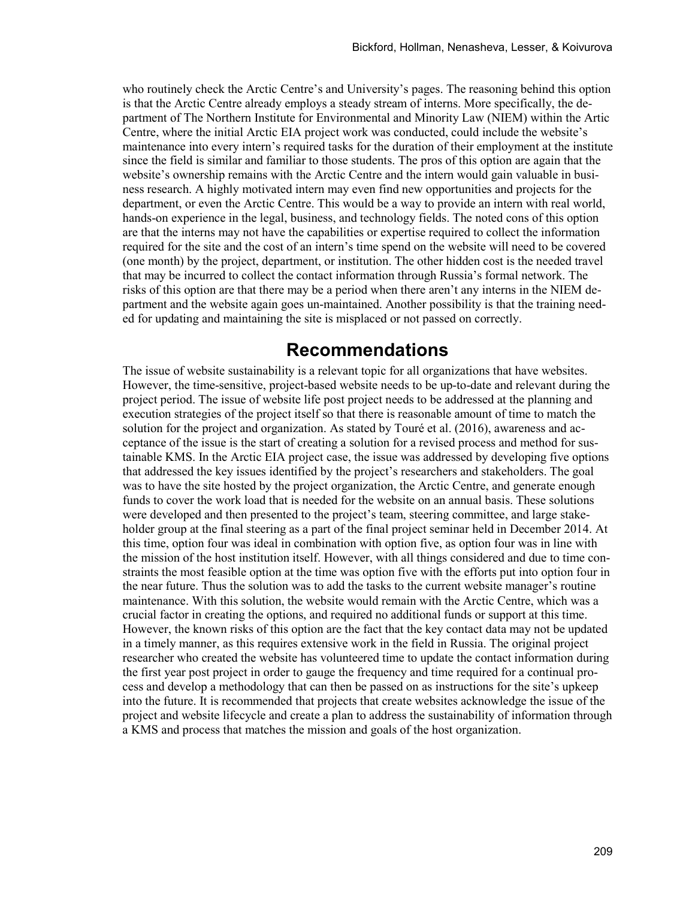who routinely check the Arctic Centre's and University's pages. The reasoning behind this option is that the Arctic Centre already employs a steady stream of interns. More specifically, the department of The Northern Institute for Environmental and Minority Law (NIEM) within the Artic Centre, where the initial Arctic EIA project work was conducted, could include the website's maintenance into every intern's required tasks for the duration of their employment at the institute since the field is similar and familiar to those students. The pros of this option are again that the website's ownership remains with the Arctic Centre and the intern would gain valuable in business research. A highly motivated intern may even find new opportunities and projects for the department, or even the Arctic Centre. This would be a way to provide an intern with real world, hands-on experience in the legal, business, and technology fields. The noted cons of this option are that the interns may not have the capabilities or expertise required to collect the information required for the site and the cost of an intern's time spend on the website will need to be covered (one month) by the project, department, or institution. The other hidden cost is the needed travel that may be incurred to collect the contact information through Russia's formal network. The risks of this option are that there may be a period when there aren't any interns in the NIEM department and the website again goes un-maintained. Another possibility is that the training needed for updating and maintaining the site is misplaced or not passed on correctly.

### **Recommendations**

The issue of website sustainability is a relevant topic for all organizations that have websites. However, the time-sensitive, project-based website needs to be up-to-date and relevant during the project period. The issue of website life post project needs to be addressed at the planning and execution strategies of the project itself so that there is reasonable amount of time to match the solution for the project and organization. As stated by Touré et al. (2016), awareness and acceptance of the issue is the start of creating a solution for a revised process and method for sustainable KMS. In the Arctic EIA project case, the issue was addressed by developing five options that addressed the key issues identified by the project's researchers and stakeholders. The goal was to have the site hosted by the project organization, the Arctic Centre, and generate enough funds to cover the work load that is needed for the website on an annual basis. These solutions were developed and then presented to the project's team, steering committee, and large stakeholder group at the final steering as a part of the final project seminar held in December 2014. At this time, option four was ideal in combination with option five, as option four was in line with the mission of the host institution itself. However, with all things considered and due to time constraints the most feasible option at the time was option five with the efforts put into option four in the near future. Thus the solution was to add the tasks to the current website manager's routine maintenance. With this solution, the website would remain with the Arctic Centre, which was a crucial factor in creating the options, and required no additional funds or support at this time. However, the known risks of this option are the fact that the key contact data may not be updated in a timely manner, as this requires extensive work in the field in Russia. The original project researcher who created the website has volunteered time to update the contact information during the first year post project in order to gauge the frequency and time required for a continual process and develop a methodology that can then be passed on as instructions for the site's upkeep into the future. It is recommended that projects that create websites acknowledge the issue of the project and website lifecycle and create a plan to address the sustainability of information through a KMS and process that matches the mission and goals of the host organization.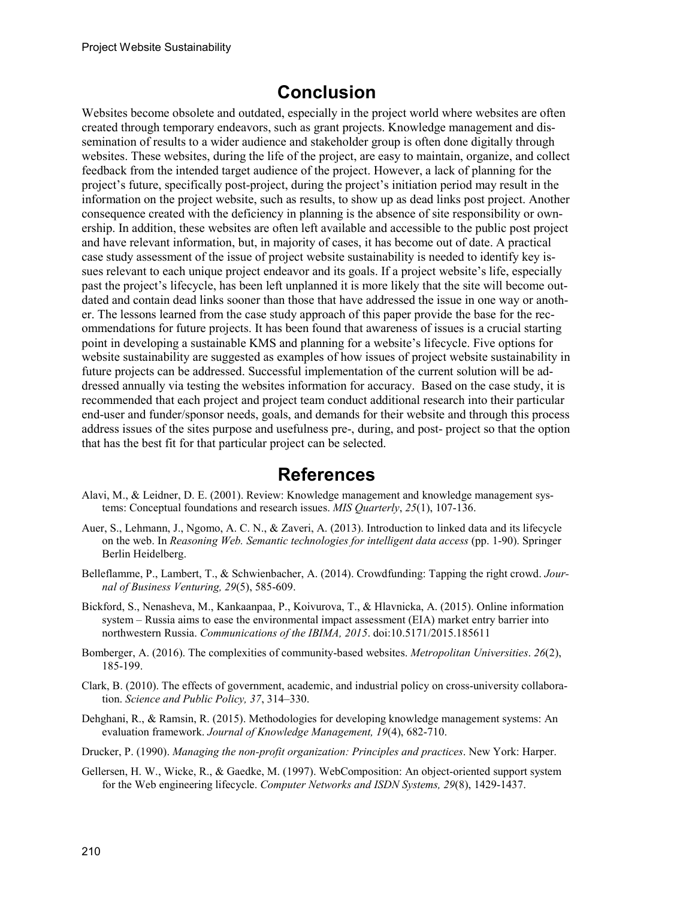### **Conclusion**

Websites become obsolete and outdated, especially in the project world where websites are often created through temporary endeavors, such as grant projects. Knowledge management and dissemination of results to a wider audience and stakeholder group is often done digitally through websites. These websites, during the life of the project, are easy to maintain, organize, and collect feedback from the intended target audience of the project. However, a lack of planning for the project's future, specifically post-project, during the project's initiation period may result in the information on the project website, such as results, to show up as dead links post project. Another consequence created with the deficiency in planning is the absence of site responsibility or ownership. In addition, these websites are often left available and accessible to the public post project and have relevant information, but, in majority of cases, it has become out of date. A practical case study assessment of the issue of project website sustainability is needed to identify key issues relevant to each unique project endeavor and its goals. If a project website's life, especially past the project's lifecycle, has been left unplanned it is more likely that the site will become outdated and contain dead links sooner than those that have addressed the issue in one way or another. The lessons learned from the case study approach of this paper provide the base for the recommendations for future projects. It has been found that awareness of issues is a crucial starting point in developing a sustainable KMS and planning for a website's lifecycle. Five options for website sustainability are suggested as examples of how issues of project website sustainability in future projects can be addressed. Successful implementation of the current solution will be addressed annually via testing the websites information for accuracy. Based on the case study, it is recommended that each project and project team conduct additional research into their particular end-user and funder/sponsor needs, goals, and demands for their website and through this process address issues of the sites purpose and usefulness pre-, during, and post- project so that the option that has the best fit for that particular project can be selected.

# **References**

- Alavi, M., & Leidner, D. E. (2001). Review: Knowledge management and knowledge management systems: Conceptual foundations and research issues. *MIS Quarterly*, *25*(1), 107-136.
- Auer, S., Lehmann, J., Ngomo, A. C. N., & Zaveri, A. (2013). Introduction to linked data and its lifecycle on the web. In *Reasoning Web. Semantic technologies for intelligent data access* (pp. 1-90). Springer Berlin Heidelberg.
- Belleflamme, P., Lambert, T., & Schwienbacher, A. (2014). Crowdfunding: Tapping the right crowd. *Journal of Business Venturing, 29*(5), 585-609.
- Bickford, S., Nenasheva, M., Kankaanpaa, P., Koivurova, T., & Hlavnicka, A. (2015). Online information system – Russia aims to ease the environmental impact assessment (EIA) market entry barrier into northwestern Russia. *Communications of the IBIMA, 2015*. doi:10.5171/2015.185611
- Bomberger, A. (2016). The complexities of community-based websites. *Metropolitan Universities*. *26*(2), 185-199.
- Clark, B. (2010). The effects of government, academic, and industrial policy on cross-university collaboration. *Science and Public Policy, 37*, 314–330.
- Dehghani, R., & Ramsin, R. (2015). Methodologies for developing knowledge management systems: An evaluation framework. *Journal of Knowledge Management, 19*(4), 682-710.
- Drucker, P. (1990). *Managing the non-profit organization: Principles and practices*. New York: Harper.
- Gellersen, H. W., Wicke, R., & Gaedke, M. (1997). WebComposition: An object-oriented support system for the Web engineering lifecycle. *Computer Networks and ISDN Systems, 29*(8), 1429-1437.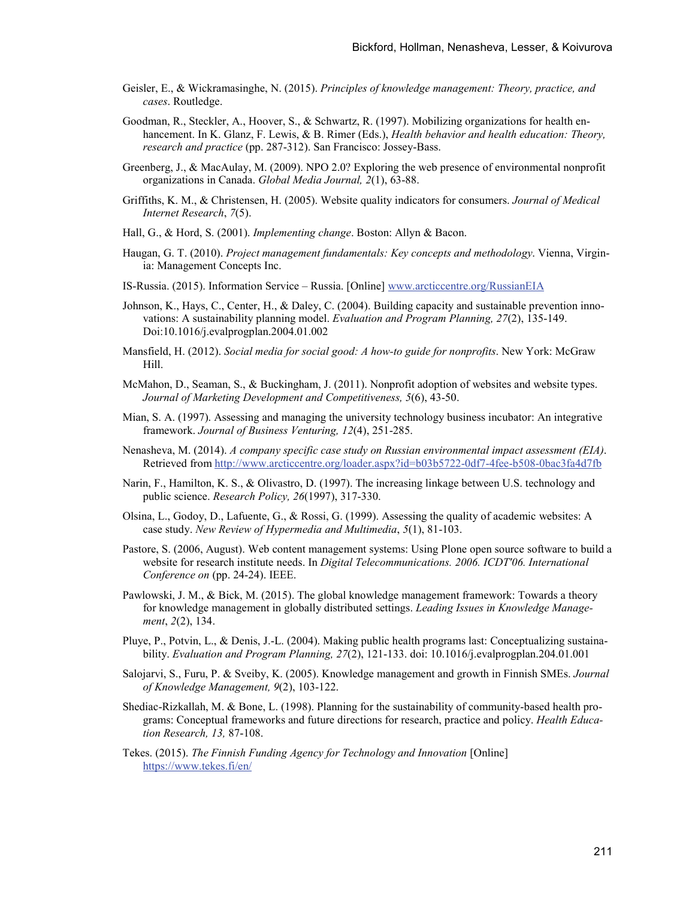- Geisler, E., & Wickramasinghe, N. (2015). *Principles of knowledge management: Theory, practice, and cases*. Routledge.
- Goodman, R., Steckler, A., Hoover, S., & Schwartz, R. (1997). Mobilizing organizations for health enhancement. In K. Glanz, F. Lewis, & B. Rimer (Eds.), *Health behavior and health education: Theory, research and practice* (pp. 287-312). San Francisco: Jossey-Bass.
- Greenberg, J., & MacAulay, M. (2009). NPO 2.0? Exploring the web presence of environmental nonprofit organizations in Canada. *Global Media Journal, 2*(1), 63-88.
- Griffiths, K. M., & Christensen, H. (2005). Website quality indicators for consumers. *Journal of Medical Internet Research*, *7*(5).
- Hall, G., & Hord, S. (2001). *Implementing change*. Boston: Allyn & Bacon.
- Haugan, G. T. (2010). *Project management fundamentals: Key concepts and methodology*. Vienna, Virginia: Management Concepts Inc.
- IS-Russia. (2015). Information Service Russia. [Online] [www.arcticcentre.org/RussianEIA](http://www.arcticcentre.org/RussianEIA)
- Johnson, K., Hays, C., Center, H., & Daley, C. (2004). Building capacity and sustainable prevention innovations: A sustainability planning model. *Evaluation and Program Planning, 27*(2), 135-149. Doi:10.1016/j.evalprogplan.2004.01.002
- Mansfield, H. (2012). *Social media for social good: A how-to guide for nonprofits*. New York: McGraw Hill.
- McMahon, D., Seaman, S., & Buckingham, J. (2011). Nonprofit adoption of websites and website types. *Journal of Marketing Development and Competitiveness, 5*(6), 43-50.
- Mian, S. A. (1997). Assessing and managing the university technology business incubator: An integrative framework. *Journal of Business Venturing, 12*(4), 251-285.
- Nenasheva, M. (2014). *A company specific case study on Russian environmental impact assessment (EIA)*. Retrieved from<http://www.arcticcentre.org/loader.aspx?id=b03b5722-0df7-4fee-b508-0bac3fa4d7fb>
- Narin, F., Hamilton, K. S., & Olivastro, D. (1997). The increasing linkage between U.S. technology and public science. *Research Policy, 26*(1997), 317-330.
- Olsina, L., Godoy, D., Lafuente, G., & Rossi, G. (1999). Assessing the quality of academic websites: A case study. *New Review of Hypermedia and Multimedia*, *5*(1), 81-103.
- Pastore, S. (2006, August). Web content management systems: Using Plone open source software to build a website for research institute needs. In *Digital Telecommunications. 2006. ICDT'06. International Conference on* (pp. 24-24). IEEE.
- Pawlowski, J. M., & Bick, M. (2015). The global knowledge management framework: Towards a theory for knowledge management in globally distributed settings. *Leading Issues in Knowledge Management*, *2*(2), 134.
- Pluye, P., Potvin, L., & Denis, J.-L. (2004). Making public health programs last: Conceptualizing sustainability. *Evaluation and Program Planning, 27*(2), 121-133. doi: 10.1016/j.evalprogplan.204.01.001
- Salojarvi, S., Furu, P. & Sveiby, K. (2005). Knowledge management and growth in Finnish SMEs. *Journal of Knowledge Management, 9*(2), 103-122.
- Shediac-Rizkallah, M. & Bone, L. (1998). Planning for the sustainability of community-based health programs: Conceptual frameworks and future directions for research, practice and policy. *Health Education Research, 13,* 87-108.
- Tekes. (2015). *The Finnish Funding Agency for Technology and Innovation* [Online] <https://www.tekes.fi/en/>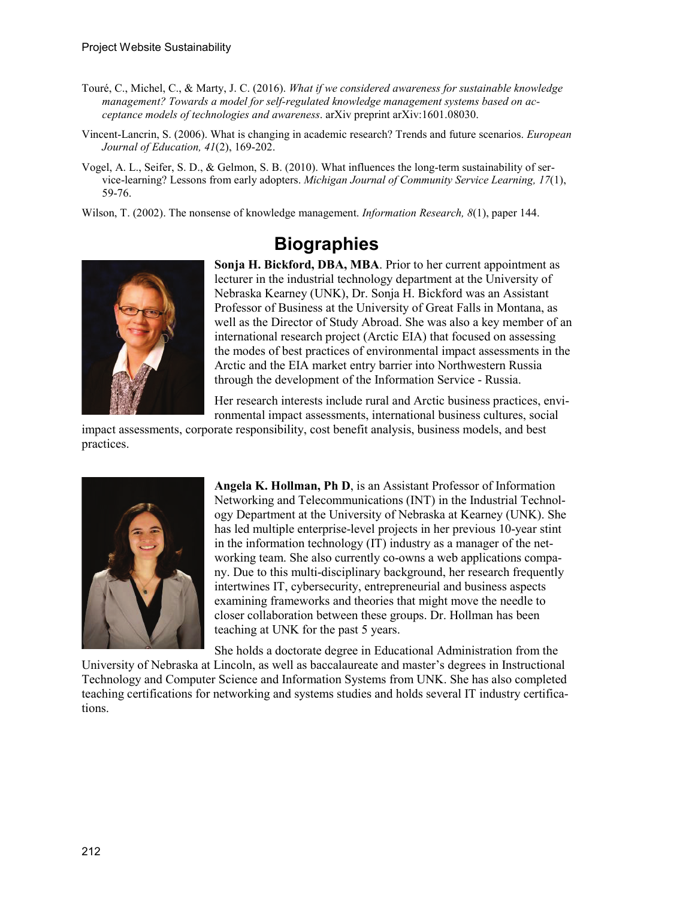- Touré, C., Michel, C., & Marty, J. C. (2016). *What if we considered awareness for sustainable knowledge management? Towards a model for self-regulated knowledge management systems based on acceptance models of technologies and awareness*. arXiv preprint arXiv:1601.08030.
- Vincent-Lancrin, S. (2006). What is changing in academic research? Trends and future scenarios. *European Journal of Education, 41*(2), 169-202.
- Vogel, A. L., Seifer, S. D., & Gelmon, S. B. (2010). What influences the long-term sustainability of service-learning? Lessons from early adopters. *Michigan Journal of Community Service Learning, 17*(1), 59-76.

Wilson, T. (2002). The nonsense of knowledge management. *Information Research, 8*(1), paper 144.



# **Biographies**

**Sonja H. Bickford, DBA, MBA**. Prior to her current appointment as lecturer in the industrial technology department at the University of Nebraska Kearney (UNK), Dr. Sonja H. Bickford was an Assistant Professor of Business at the University of Great Falls in Montana, as well as the Director of Study Abroad. She was also a key member of an international research project (Arctic EIA) that focused on assessing the modes of best practices of environmental impact assessments in the Arctic and the EIA market entry barrier into Northwestern Russia through the development of the Information Service - Russia.

Her research interests include rural and Arctic business practices, environmental impact assessments, international business cultures, social

impact assessments, corporate responsibility, cost benefit analysis, business models, and best practices.



**Angela K. Hollman, Ph D**, is an Assistant Professor of Information Networking and Telecommunications (INT) in the Industrial Technology Department at the University of Nebraska at Kearney (UNK). She has led multiple enterprise-level projects in her previous 10-year stint in the information technology (IT) industry as a manager of the networking team. She also currently co-owns a web applications company. Due to this multi-disciplinary background, her research frequently intertwines IT, cybersecurity, entrepreneurial and business aspects examining frameworks and theories that might move the needle to closer collaboration between these groups. Dr. Hollman has been teaching at UNK for the past 5 years.

She holds a doctorate degree in Educational Administration from the

University of Nebraska at Lincoln, as well as baccalaureate and master's degrees in Instructional Technology and Computer Science and Information Systems from UNK. She has also completed teaching certifications for networking and systems studies and holds several IT industry certifications.